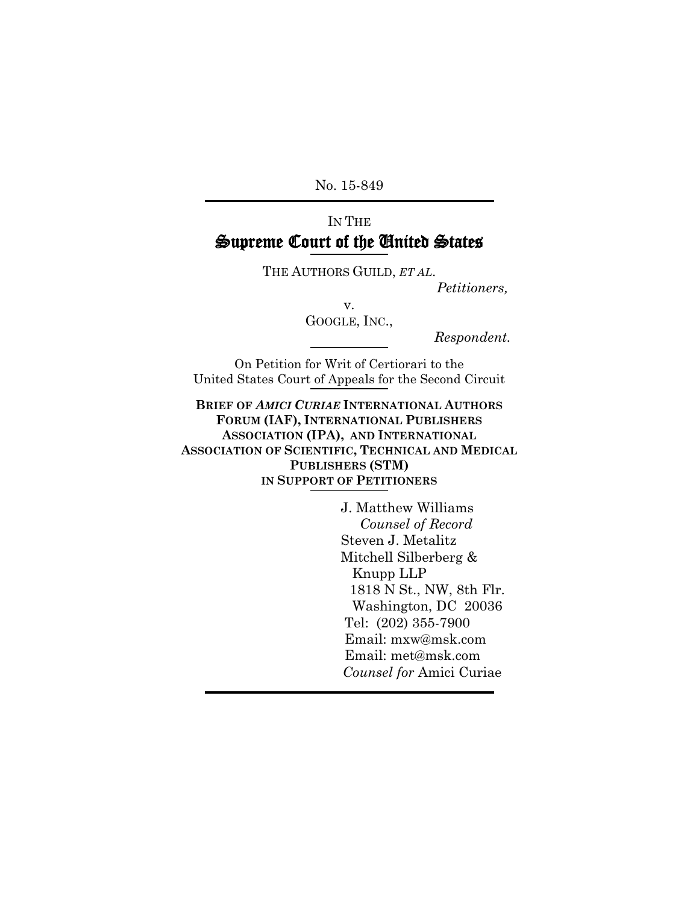No. 15-849

## IN THE **Supreme Court of the United States**

THE AUTHORS GUILD, *ET AL*.

*Petitioners,*

v.

GOOGLE, INC.,

*Respondent.*

On Petition for Writ of Certiorari to the United States Court of Appeals for the Second Circuit

**BRIEF OF** *AMICI CURIAE* **INTERNATIONAL AUTHORS FORUM (IAF), INTERNATIONAL PUBLISHERS ASSOCIATION (IPA), AND INTERNATIONAL ASSOCIATION OF SCIENTIFIC, TECHNICAL AND MEDICAL PUBLISHERS (STM) IN SUPPORT OF PETITIONERS**

> J. Matthew Williams  *Counsel of Record* Steven J. Metalitz Mitchell Silberberg & Knupp LLP 1818 N St., NW, 8th Flr. Washington, DC 20036 Tel: (202) 355-7900 Email: mxw@msk.com Email: met@msk.com  *Counsel for* Amici Curiae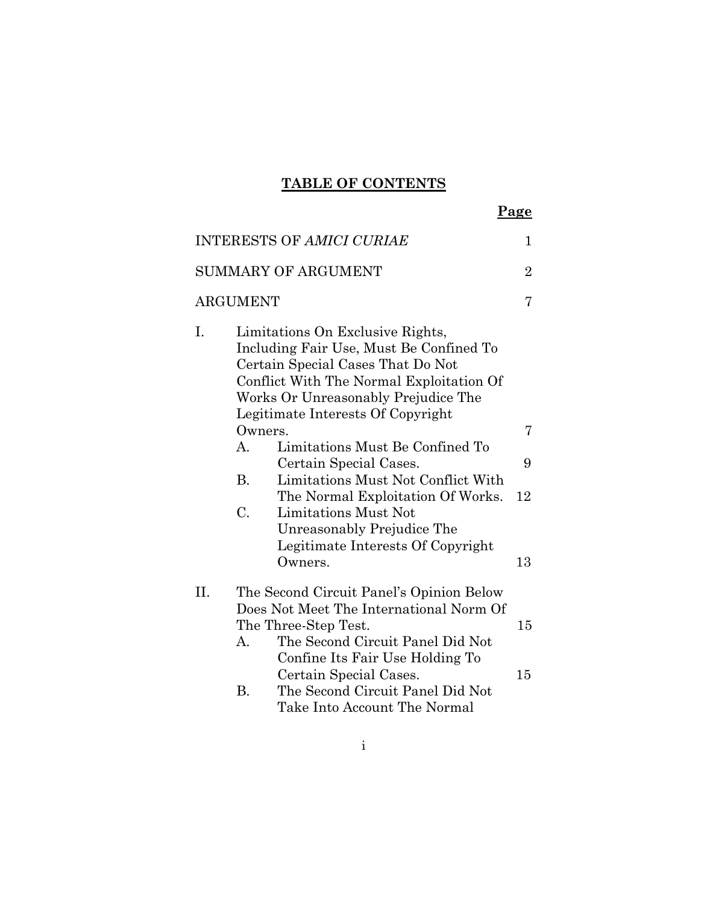## **TABLE OF CONTENTS**

|    |                                                                                                                                                                                                                                                                                                                                                                                                                                                                                     | Page           |
|----|-------------------------------------------------------------------------------------------------------------------------------------------------------------------------------------------------------------------------------------------------------------------------------------------------------------------------------------------------------------------------------------------------------------------------------------------------------------------------------------|----------------|
|    | <b>INTERESTS OF AMICI CURIAE</b>                                                                                                                                                                                                                                                                                                                                                                                                                                                    | 1              |
|    | <b>SUMMARY OF ARGUMENT</b>                                                                                                                                                                                                                                                                                                                                                                                                                                                          | $\overline{2}$ |
|    | ARGUMENT                                                                                                                                                                                                                                                                                                                                                                                                                                                                            | 7              |
| I. | Limitations On Exclusive Rights,<br>Including Fair Use, Must Be Confined To<br>Certain Special Cases That Do Not<br>Conflict With The Normal Exploitation Of<br>Works Or Unreasonably Prejudice The<br>Legitimate Interests Of Copyright<br>Owners.<br>Limitations Must Be Confined To<br>$A_{\cdot}$<br>Certain Special Cases.<br><b>B.</b><br>Limitations Must Not Conflict With<br>The Normal Exploitation Of Works.<br>C.<br>Limitations Must Not<br>Unreasonably Prejudice The | 7<br>9<br>12   |
|    | Legitimate Interests Of Copyright<br>Owners.                                                                                                                                                                                                                                                                                                                                                                                                                                        | 13             |
| Η. | The Second Circuit Panel's Opinion Below                                                                                                                                                                                                                                                                                                                                                                                                                                            |                |
|    | Does Not Meet The International Norm Of<br>The Three-Step Test.<br>The Second Circuit Panel Did Not<br>A.<br>Confine Its Fair Use Holding To<br>Certain Special Cases.<br><b>B.</b><br>The Second Circuit Panel Did Not                                                                                                                                                                                                                                                             | 15<br>15       |
|    | Take Into Account The Normal                                                                                                                                                                                                                                                                                                                                                                                                                                                        |                |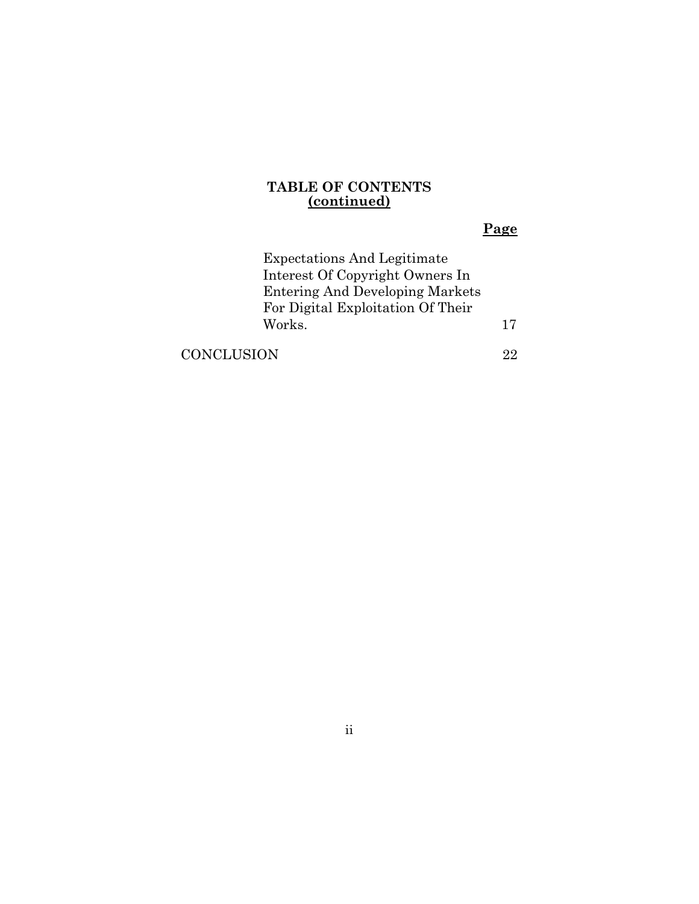#### **TABLE OF CONTENTS (continued)**

## **Page**

| <b>Expectations And Legitimate</b>     |    |
|----------------------------------------|----|
| Interest Of Copyright Owners In        |    |
| <b>Entering And Developing Markets</b> |    |
| For Digital Exploitation Of Their      |    |
| Works.                                 | 17 |
|                                        |    |

[CONCLUSION](#page-30-0) 22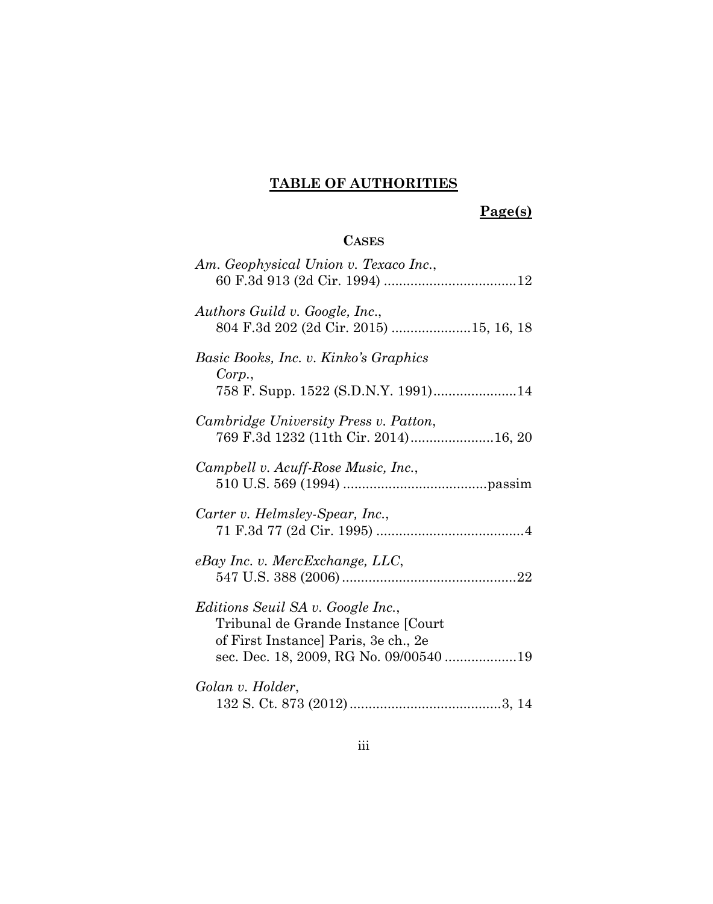## **TABLE OF AUTHORITIES**

# **Page(s)**

## **CASES**

| Am. Geophysical Union v. Texaco Inc.,                                                                                                                     |
|-----------------------------------------------------------------------------------------------------------------------------------------------------------|
| Authors Guild v. Google, Inc.,<br>804 F.3d 202 (2d Cir. 2015) 15, 16, 18                                                                                  |
| Basic Books, Inc. v. Kinko's Graphics<br>Corp.,<br>758 F. Supp. 1522 (S.D.N.Y. 1991)14                                                                    |
| Cambridge University Press v. Patton,<br>769 F.3d 1232 (11th Cir. 2014)16, 20                                                                             |
| Campbell v. Acuff-Rose Music, Inc.,                                                                                                                       |
| Carter v. Helmsley-Spear, Inc.,                                                                                                                           |
| $e$ Bay Inc. v. MercExchange, LLC,                                                                                                                        |
| Editions Seuil SA v. Google Inc.,<br>Tribunal de Grande Instance [Court<br>of First Instance] Paris, 3e ch., 2e<br>sec. Dec. 18, 2009, RG No. 09/00540 19 |
| Golan v. Holder,                                                                                                                                          |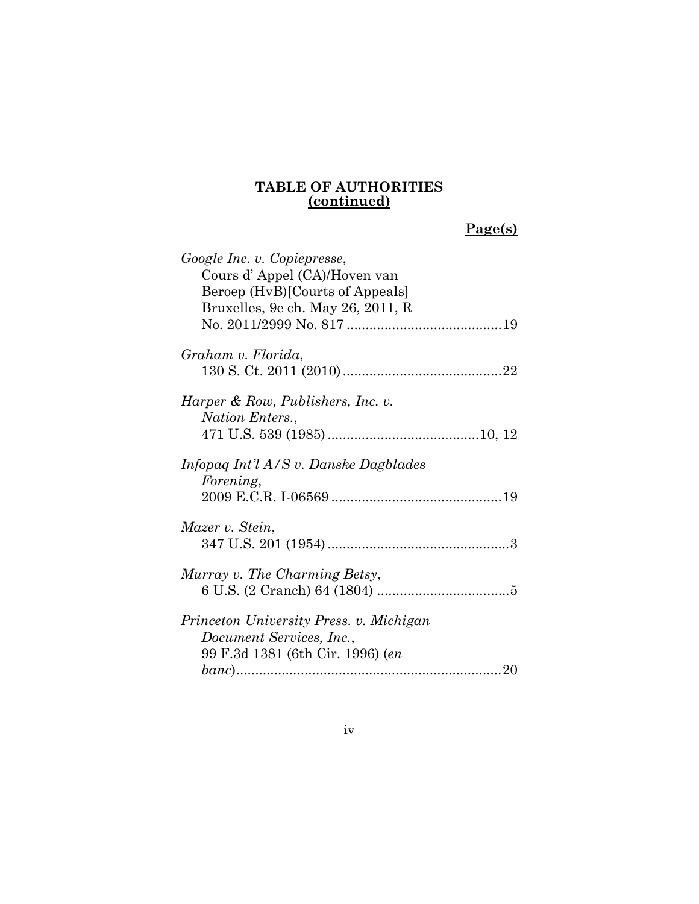| Google Inc. v. Copiepresse,<br>Cours d'Appel (CA)/Hoven van<br>Beroep (HvB)[Courts of Appeals]          |  |
|---------------------------------------------------------------------------------------------------------|--|
| Bruxelles, 9e ch. May 26, 2011, R                                                                       |  |
| Graham v. Florida,                                                                                      |  |
| Harper & Row, Publishers, Inc. v.<br>Nation Enters.,                                                    |  |
| Infopag Int'l $A/S$ v. Danske Dagblades<br><i>Forening,</i>                                             |  |
| Mazer v. Stein,                                                                                         |  |
| Murray v. The Charming Betsy,                                                                           |  |
| Princeton University Press. v. Michigan<br>Document Services, Inc.,<br>99 F.3d 1381 (6th Cir. 1996) (en |  |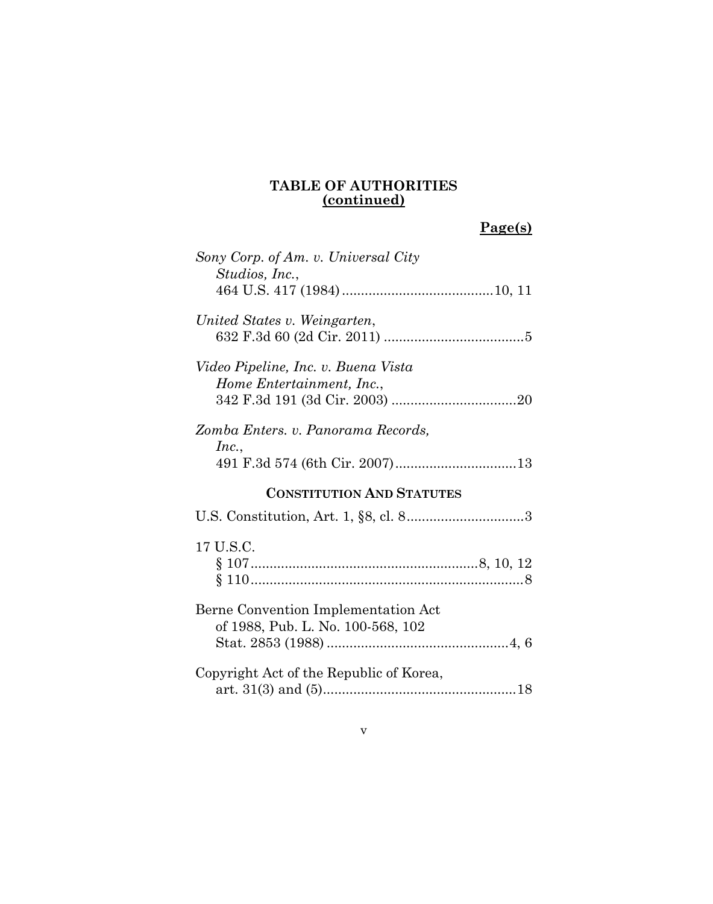| Sony Corp. of Am. v. Universal City<br>Studios, Inc.,                    |
|--------------------------------------------------------------------------|
| United States v. Weingarten,                                             |
| Video Pipeline, Inc. v. Buena Vista<br>Home Entertainment, Inc.,         |
| Zomba Enters. v. Panorama Records,<br>Inc.,                              |
| <b>CONSTITUTION AND STATUTES</b>                                         |
|                                                                          |
| 17 U.S.C.                                                                |
|                                                                          |
| Berne Convention Implementation Act<br>of 1988, Pub. L. No. 100-568, 102 |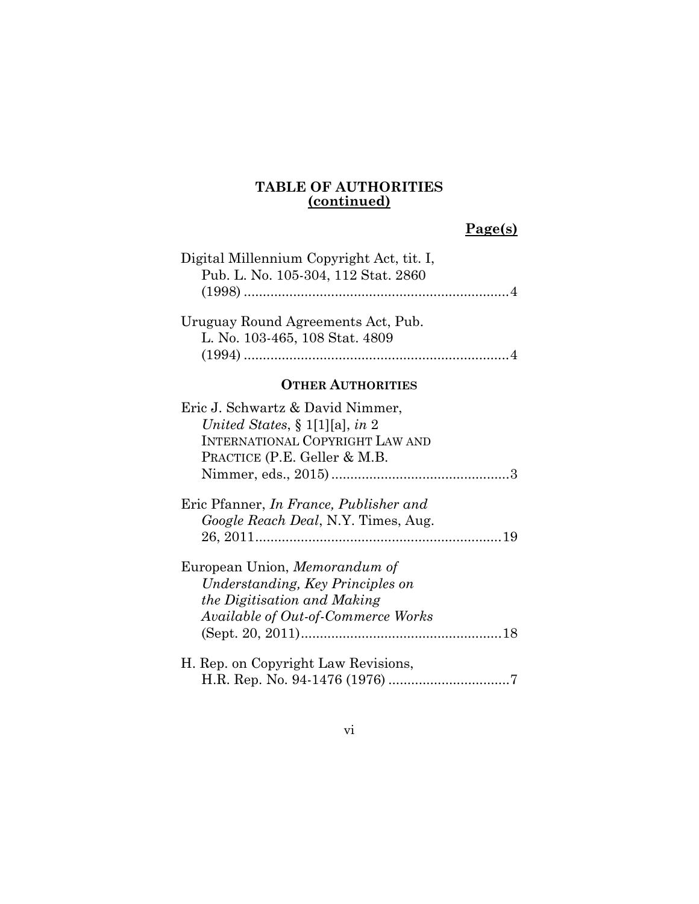| Digital Millennium Copyright Act, tit. I,<br>Pub. L. No. 105-304, 112 Stat. 2860                                                             |  |
|----------------------------------------------------------------------------------------------------------------------------------------------|--|
| Uruguay Round Agreements Act, Pub.<br>L. No. 103-465, 108 Stat. 4809                                                                         |  |
| <b>OTHER AUTHORITIES</b>                                                                                                                     |  |
| Eric J. Schwartz & David Nimmer,<br>United States, § 1[1][a], in 2<br><b>INTERNATIONAL COPYRIGHT LAW AND</b><br>PRACTICE (P.E. Geller & M.B. |  |
| Eric Pfanner, In France, Publisher and<br>Google Reach Deal, N.Y. Times, Aug.                                                                |  |
| European Union, Memorandum of<br>Understanding, Key Principles on<br>the Digitisation and Making<br>Available of Out-of-Commerce Works       |  |
| H. Rep. on Copyright Law Revisions,                                                                                                          |  |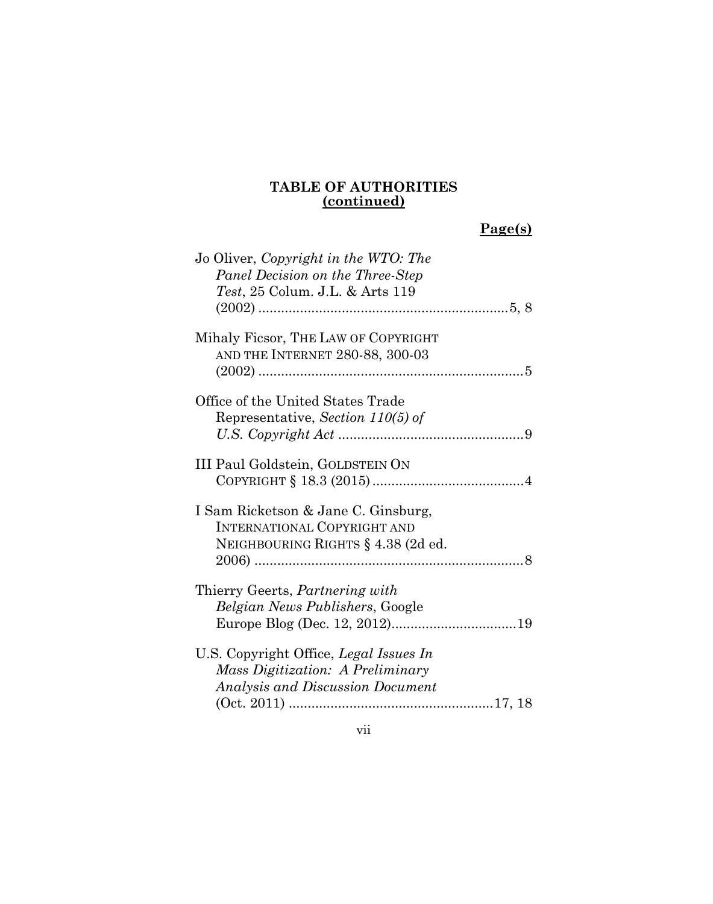| Jo Oliver, Copyright in the WTO: The<br>Panel Decision on the Three-Step<br><i>Test</i> , 25 Colum. J.L. & Arts 119 |
|---------------------------------------------------------------------------------------------------------------------|
| Mihaly Ficsor, THE LAW OF COPYRIGHT<br>AND THE INTERNET 280-88, 300-03                                              |
| Office of the United States Trade<br>Representative, Section 110(5) of                                              |
| III Paul Goldstein, GOLDSTEIN ON                                                                                    |
| I Sam Ricketson & Jane C. Ginsburg,<br><b>INTERNATIONAL COPYRIGHT AND</b><br>NEIGHBOURING RIGHTS § 4.38 (2d ed.     |
| Thierry Geerts, Partnering with<br>Belgian News Publishers, Google                                                  |
| U.S. Copyright Office, Legal Issues In<br>Mass Digitization: A Preliminary<br>Analysis and Discussion Document      |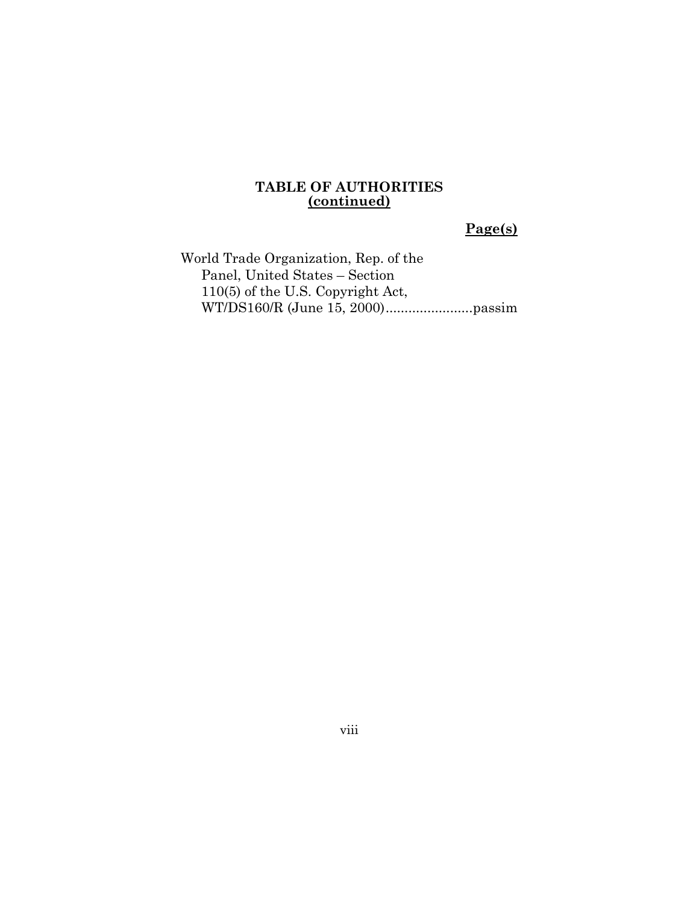## **Page(s)**

World Trade Organization, Rep. of the Panel, United States – Section 110(5) of the U.S. Copyright Act, WT/DS160/R (June 15, 2000).......................passim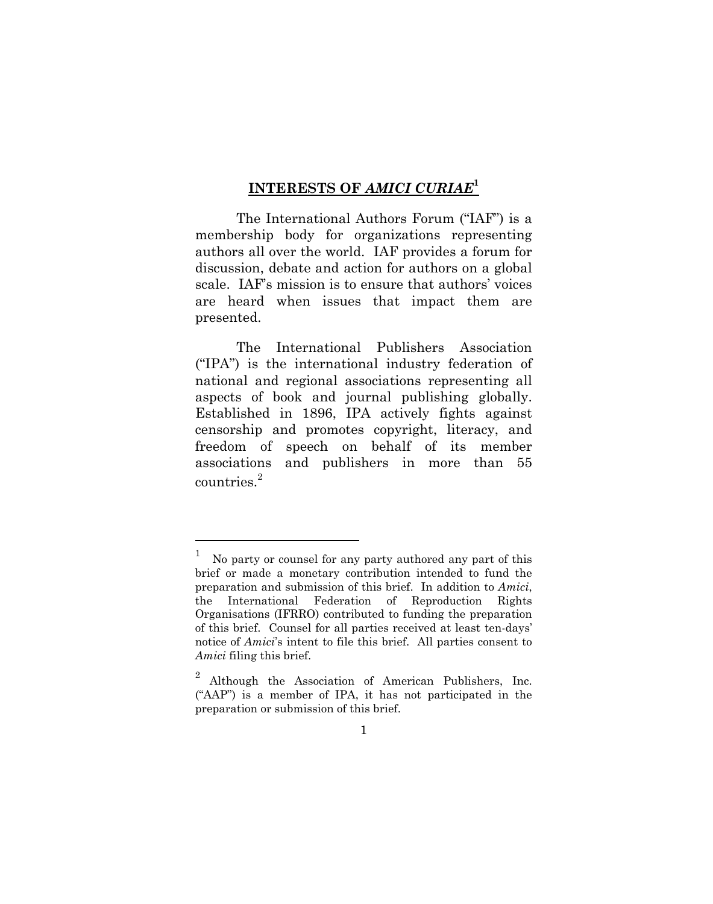### <span id="page-9-0"></span>**INTERESTS OF** *AMICI CURIAE***<sup>1</sup>**

The International Authors Forum ("IAF") is a membership body for organizations representing authors all over the world. IAF provides a forum for discussion, debate and action for authors on a global scale. IAF's mission is to ensure that authors' voices are heard when issues that impact them are presented.

The International Publishers Association ("IPA") is the international industry federation of national and regional associations representing all aspects of book and journal publishing globally. Established in 1896, IPA actively fights against censorship and promotes copyright, literacy, and freedom of speech on behalf of its member associations and publishers in more than 55 countries.<sup>2</sup>

<sup>1</sup> No party or counsel for any party authored any part of this brief or made a monetary contribution intended to fund the preparation and submission of this brief. In addition to *Amici*, the International Federation of Reproduction Rights Organisations (IFRRO) contributed to funding the preparation of this brief. Counsel for all parties received at least ten-days' notice of *Amici*'s intent to file this brief. All parties consent to *Amici* filing this brief.

<sup>2</sup> Although the Association of American Publishers, Inc. ("AAP") is a member of IPA, it has not participated in the preparation or submission of this brief.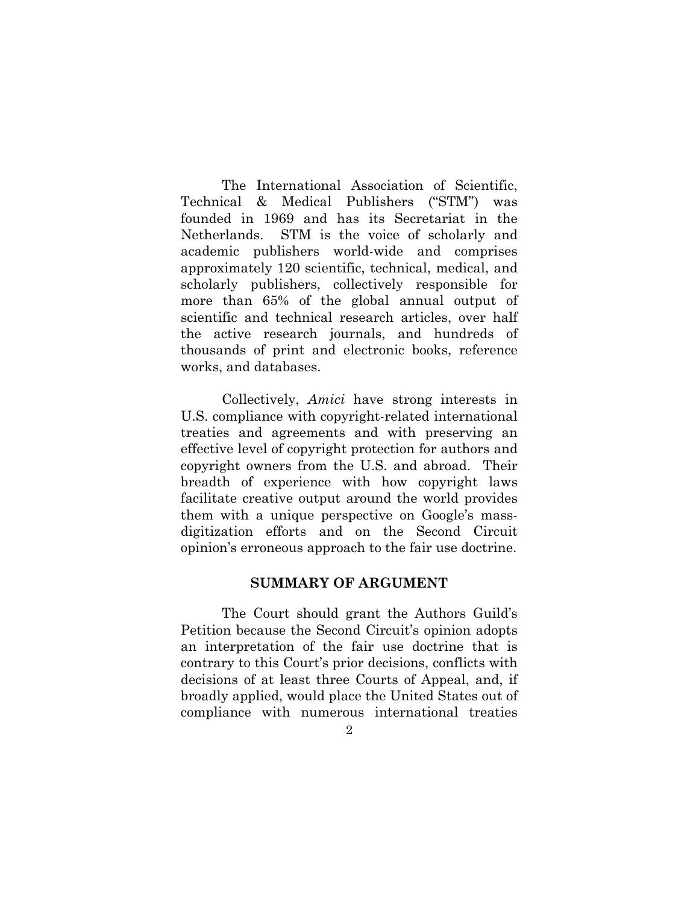The International Association of Scientific, Technical & Medical Publishers ("STM") was founded in 1969 and has its Secretariat in the Netherlands. STM is the voice of scholarly and academic publishers world-wide and comprises approximately 120 scientific, technical, medical, and scholarly publishers, collectively responsible for more than 65% of the global annual output of scientific and technical research articles, over half the active research journals, and hundreds of thousands of print and electronic books, reference works, and databases.

Collectively, *Amici* have strong interests in U.S. compliance with copyright-related international treaties and agreements and with preserving an effective level of copyright protection for authors and copyright owners from the U.S. and abroad. Their breadth of experience with how copyright laws facilitate creative output around the world provides them with a unique perspective on Google's massdigitization efforts and on the Second Circuit opinion's erroneous approach to the fair use doctrine.

### <span id="page-10-0"></span>**SUMMARY OF ARGUMENT**

The Court should grant the Authors Guild's Petition because the Second Circuit's opinion adopts an interpretation of the fair use doctrine that is contrary to this Court's prior decisions, conflicts with decisions of at least three Courts of Appeal, and, if broadly applied, would place the United States out of compliance with numerous international treaties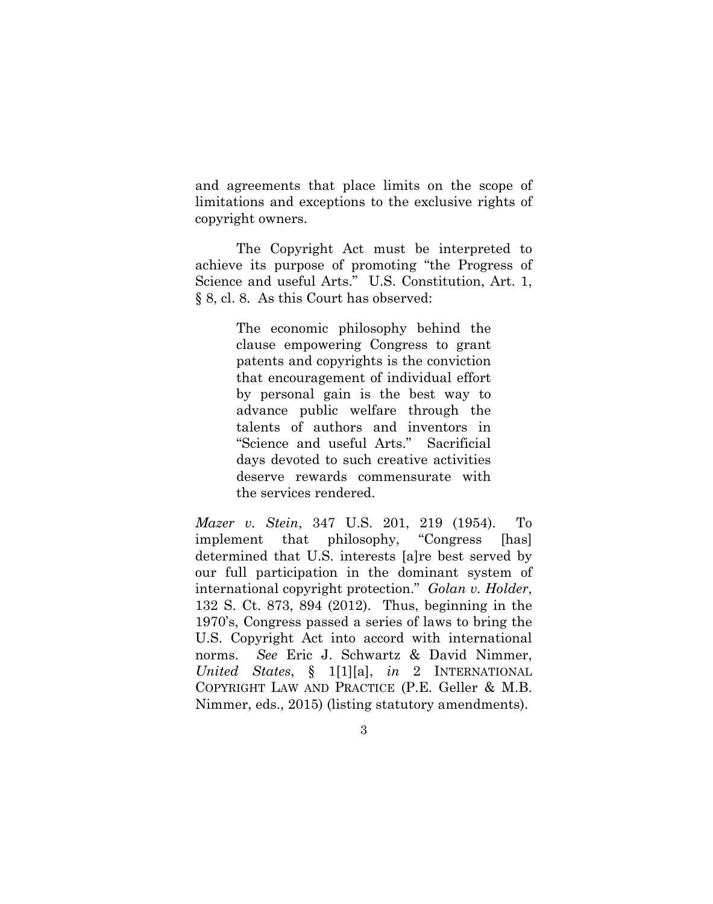and agreements that place limits on the scope of limitations and exceptions to the exclusive rights of copyright owners.

The Copyright Act must be interpreted to achieve its purpose of promoting "the Progress of Science and useful Arts." U.S. Constitution, Art. 1, § 8, cl. 8. As this Court has observed:

> The economic philosophy behind the clause empowering Congress to grant patents and copyrights is the conviction that encouragement of individual effort by personal gain is the best way to advance public welfare through the talents of authors and inventors in "Science and useful Arts." Sacrificial days devoted to such creative activities deserve rewards commensurate with the services rendered.

*Mazer v. Stein*, 347 U.S. 201, 219 (1954). To implement that philosophy, "Congress [has] determined that U.S. interests [a]re best served by our full participation in the dominant system of international copyright protection." *Golan v. Holder*, 132 S. Ct. 873, 894 (2012). Thus, beginning in the 1970's, Congress passed a series of laws to bring the U.S. Copyright Act into accord with international norms. *See* Eric J. Schwartz & David Nimmer, *United States*, § 1[1][a], *in* 2 INTERNATIONAL COPYRIGHT LAW AND PRACTICE (P.E. Geller & M.B. Nimmer, eds., 2015) (listing statutory amendments).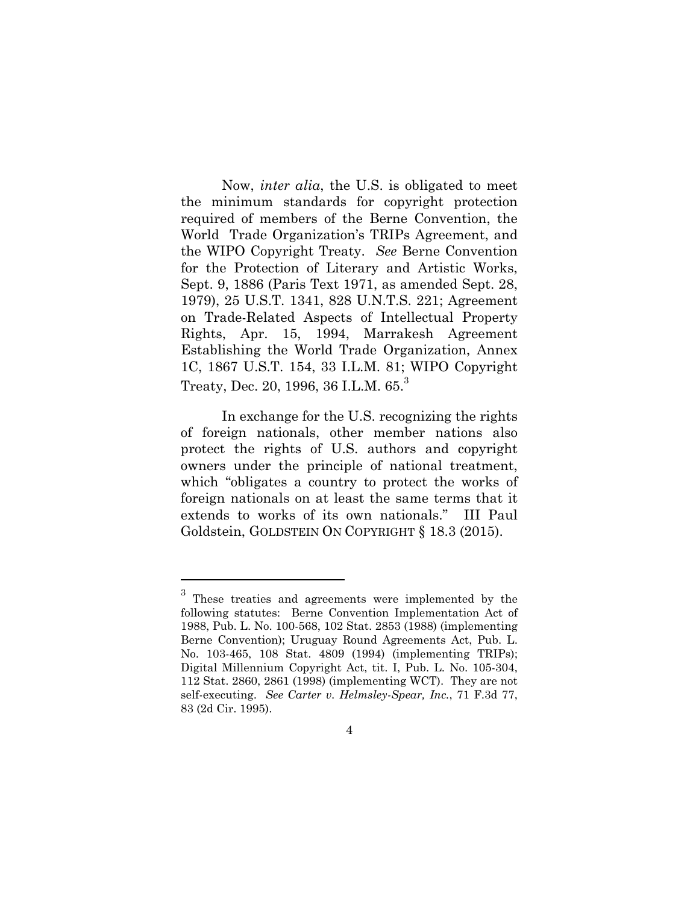Now, *inter alia*, the U.S. is obligated to meet the minimum standards for copyright protection required of members of the Berne Convention, the World Trade Organization's TRIPs Agreement, and the WIPO Copyright Treaty. *See* Berne Convention for the Protection of Literary and Artistic Works, Sept. 9, 1886 (Paris Text 1971, as amended Sept. 28, 1979), 25 U.S.T. 1341, 828 U.N.T.S. 221; Agreement on Trade-Related Aspects of Intellectual Property Rights, Apr. 15, 1994, Marrakesh Agreement Establishing the World Trade Organization, Annex 1C, 1867 U.S.T. 154, 33 I.L.M. 81; WIPO Copyright Treaty, Dec. 20, 1996, 36 I.L.M,  $65<sup>3</sup>$ 

In exchange for the U.S. recognizing the rights of foreign nationals, other member nations also protect the rights of U.S. authors and copyright owners under the principle of national treatment, which "obligates a country to protect the works of foreign nationals on at least the same terms that it extends to works of its own nationals." III Paul Goldstein, GOLDSTEIN ON COPYRIGHT § 18.3 (2015).

<sup>&</sup>lt;sup>3</sup> These treaties and agreements were implemented by the following statutes: Berne Convention Implementation Act of 1988, Pub. L. No. 100-568, 102 Stat. 2853 (1988) (implementing Berne Convention); Uruguay Round Agreements Act, Pub. L. No. 103-465, 108 Stat. 4809 (1994) (implementing TRIPs); Digital Millennium Copyright Act, tit. I, Pub. L. No. 105-304, 112 Stat. 2860, 2861 (1998) (implementing WCT). They are not self-executing. *See Carter v. Helmsley-Spear, Inc.*, 71 F.3d 77, 83 (2d Cir. 1995).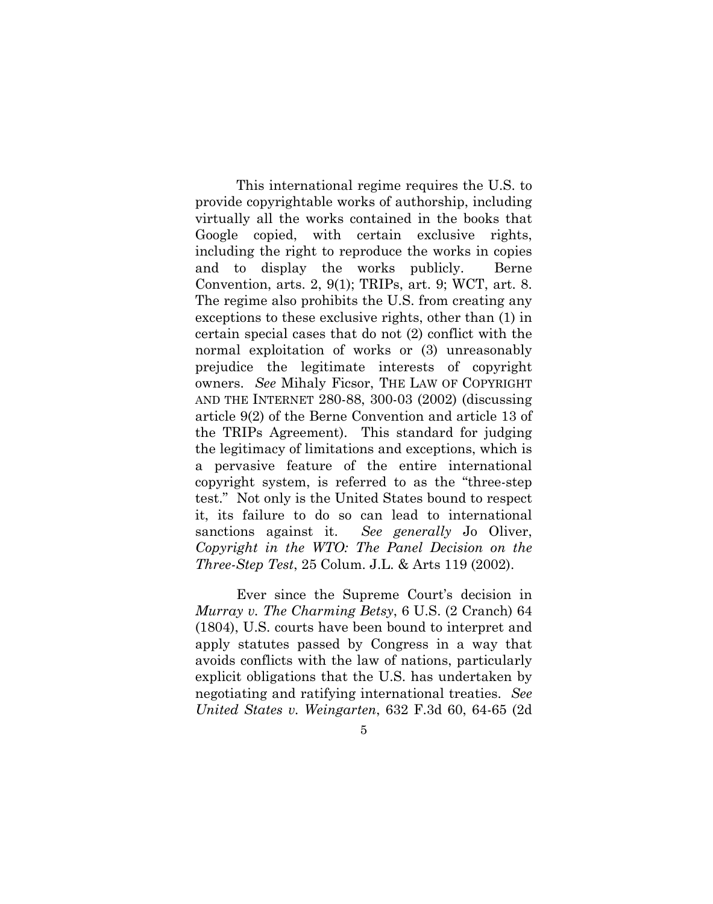This international regime requires the U.S. to provide copyrightable works of authorship, including virtually all the works contained in the books that Google copied, with certain exclusive rights, including the right to reproduce the works in copies and to display the works publicly. Berne Convention, arts. 2, 9(1); TRIPs, art. 9; WCT, art. 8. The regime also prohibits the U.S. from creating any exceptions to these exclusive rights, other than (1) in certain special cases that do not (2) conflict with the normal exploitation of works or (3) unreasonably prejudice the legitimate interests of copyright owners. *See* Mihaly Ficsor, THE LAW OF COPYRIGHT AND THE INTERNET 280-88, 300-03 (2002) (discussing article 9(2) of the Berne Convention and article 13 of the TRIPs Agreement). This standard for judging the legitimacy of limitations and exceptions, which is a pervasive feature of the entire international copyright system, is referred to as the "three-step test." Not only is the United States bound to respect it, its failure to do so can lead to international sanctions against it. *See generally* Jo Oliver, *Copyright in the WTO: The Panel Decision on the Three-Step Test*, 25 Colum. J.L. & Arts 119 (2002).

Ever since the Supreme Court's decision in *Murray v. The Charming Betsy*, 6 U.S. (2 Cranch) 64 (1804), U.S. courts have been bound to interpret and apply statutes passed by Congress in a way that avoids conflicts with the law of nations, particularly explicit obligations that the U.S. has undertaken by negotiating and ratifying international treaties. *See United States v. Weingarten*, 632 F.3d 60, 64-65 (2d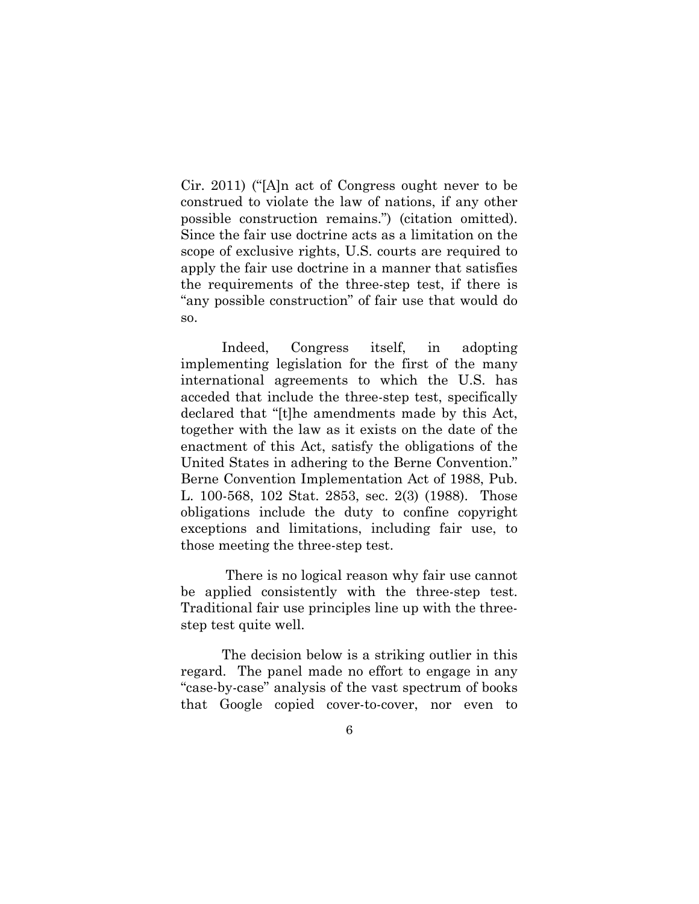Cir. 2011) ("[A]n act of Congress ought never to be construed to violate the law of nations, if any other possible construction remains.") (citation omitted). Since the fair use doctrine acts as a limitation on the scope of exclusive rights, U.S. courts are required to apply the fair use doctrine in a manner that satisfies the requirements of the three-step test, if there is "any possible construction" of fair use that would do so.

Indeed, Congress itself, in adopting implementing legislation for the first of the many international agreements to which the U.S. has acceded that include the three-step test, specifically declared that "[t]he amendments made by this Act, together with the law as it exists on the date of the enactment of this Act, satisfy the obligations of the United States in adhering to the Berne Convention." Berne Convention Implementation Act of 1988, Pub. L. 100-568, 102 Stat. 2853, sec. 2(3) (1988). Those obligations include the duty to confine copyright exceptions and limitations, including fair use, to those meeting the three-step test.

There is no logical reason why fair use cannot be applied consistently with the three-step test. Traditional fair use principles line up with the threestep test quite well.

The decision below is a striking outlier in this regard. The panel made no effort to engage in any "case-by-case" analysis of the vast spectrum of books that Google copied cover-to-cover, nor even to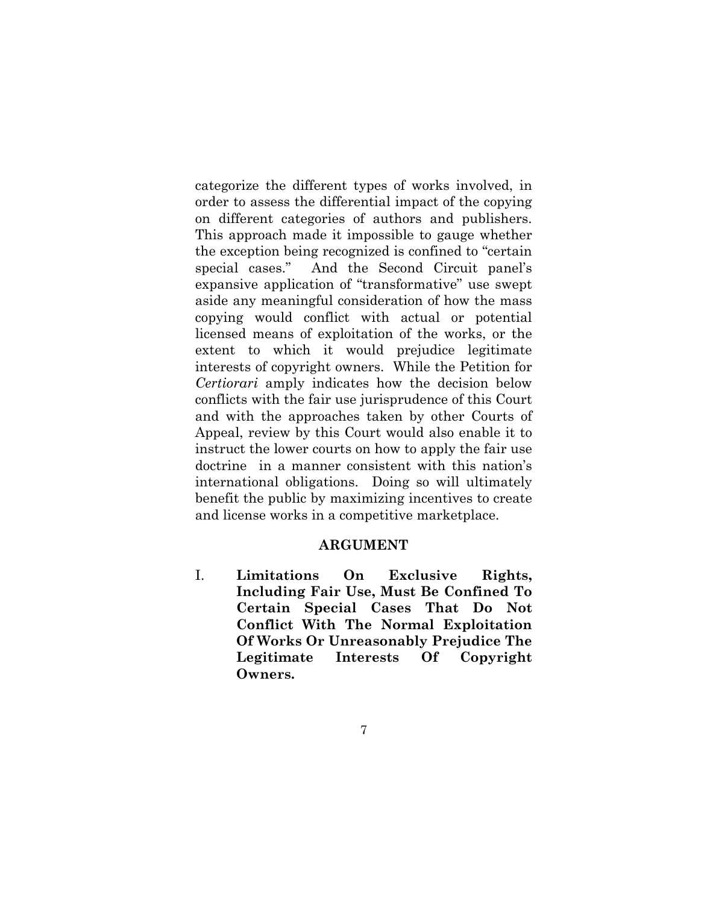categorize the different types of works involved, in order to assess the differential impact of the copying on different categories of authors and publishers. This approach made it impossible to gauge whether the exception being recognized is confined to "certain special cases." And the Second Circuit panel's expansive application of "transformative" use swept aside any meaningful consideration of how the mass copying would conflict with actual or potential licensed means of exploitation of the works, or the extent to which it would prejudice legitimate interests of copyright owners. While the Petition for *Certiorari* amply indicates how the decision below conflicts with the fair use jurisprudence of this Court and with the approaches taken by other Courts of Appeal, review by this Court would also enable it to instruct the lower courts on how to apply the fair use doctrine in a manner consistent with this nation's international obligations. Doing so will ultimately benefit the public by maximizing incentives to create and license works in a competitive marketplace.

#### <span id="page-15-0"></span>**ARGUMENT**

<span id="page-15-1"></span>I. **Limitations On Exclusive Rights, Including Fair Use, Must Be Confined To Certain Special Cases That Do Not Conflict With The Normal Exploitation Of Works Or Unreasonably Prejudice The Legitimate Interests Of Copyright Owners.**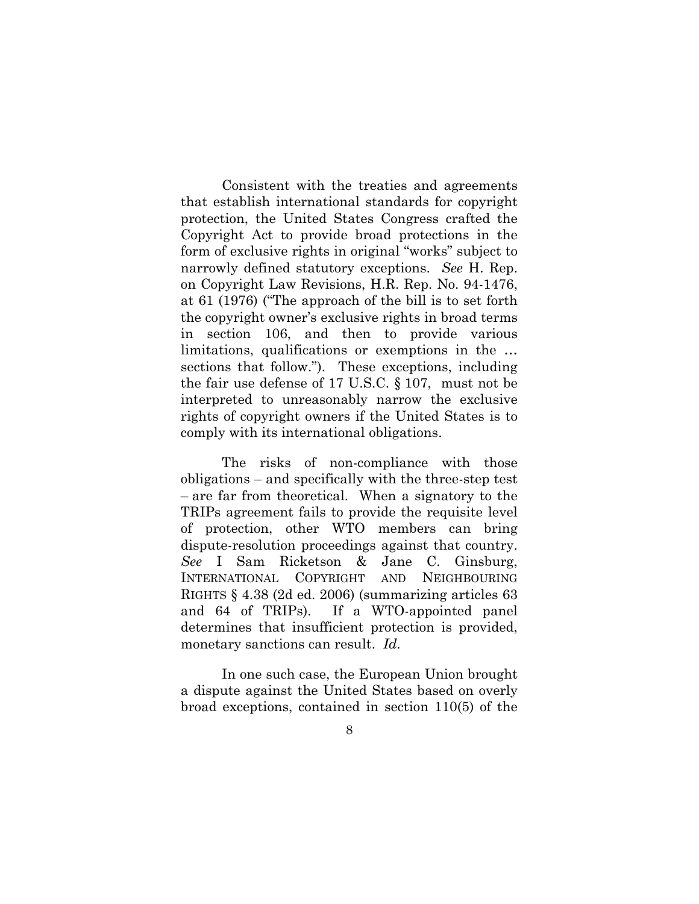Consistent with the treaties and agreements that establish international standards for copyright protection, the United States Congress crafted the Copyright Act to provide broad protections in the form of exclusive rights in original "works" subject to narrowly defined statutory exceptions. *See* H. Rep. on Copyright Law Revisions, H.R. Rep. No. 94-1476, at 61 (1976) ("The approach of the bill is to set forth the copyright owner's exclusive rights in broad terms in section 106, and then to provide various limitations, qualifications or exemptions in the … sections that follow."). These exceptions, including the fair use defense of 17 U.S.C. § 107, must not be interpreted to unreasonably narrow the exclusive rights of copyright owners if the United States is to comply with its international obligations.

The risks of non-compliance with those obligations – and specifically with the three-step test – are far from theoretical. When a signatory to the TRIPs agreement fails to provide the requisite level of protection, other WTO members can bring dispute-resolution proceedings against that country. *See* I Sam Ricketson & Jane C. Ginsburg, INTERNATIONAL COPYRIGHT AND NEIGHBOURING RIGHTS § 4.38 (2d ed. 2006) (summarizing articles 63 and 64 of TRIPs). If a WTO-appointed panel determines that insufficient protection is provided, monetary sanctions can result. *Id.*

In one such case, the European Union brought a dispute against the United States based on overly broad exceptions, contained in section 110(5) of the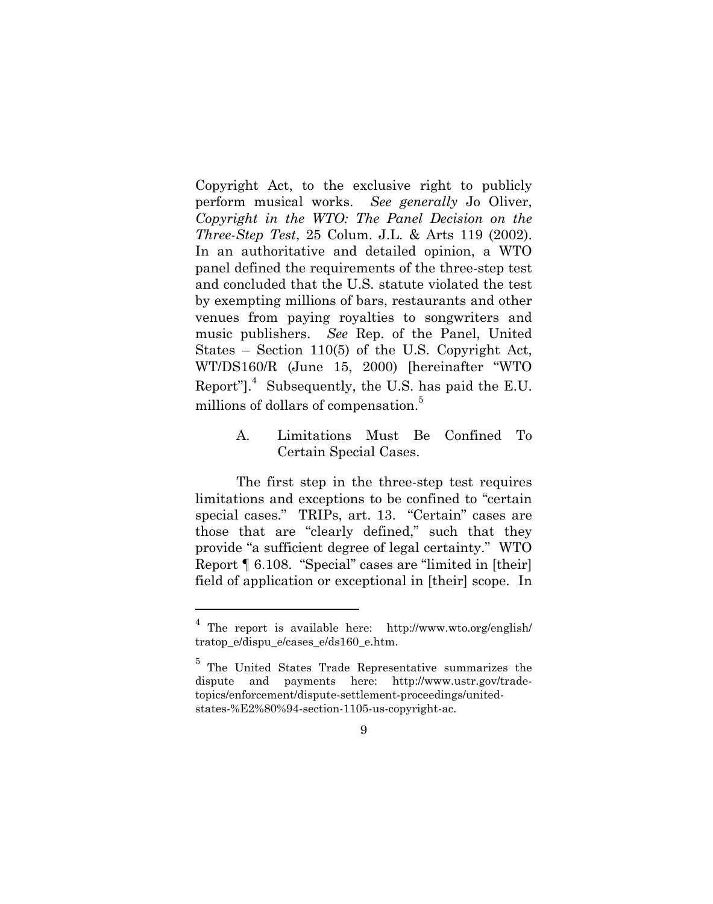Copyright Act, to the exclusive right to publicly perform musical works. *See generally* Jo Oliver, *Copyright in the WTO: The Panel Decision on the Three-Step Test*, 25 Colum. J.L. & Arts 119 (2002). In an authoritative and detailed opinion, a WTO panel defined the requirements of the three-step test and concluded that the U.S. statute violated the test by exempting millions of bars, restaurants and other venues from paying royalties to songwriters and music publishers. *See* Rep. of the Panel, United States – Section 110(5) of the U.S. Copyright Act, WT/DS160/R (June 15, 2000) [hereinafter "WTO Report"]. $4$  Subsequently, the U.S. has paid the E.U. millions of dollars of compensation.<sup>5</sup>

> <span id="page-17-0"></span>A. Limitations Must Be Confined To Certain Special Cases.

The first step in the three-step test requires limitations and exceptions to be confined to "certain special cases." TRIPs, art. 13. "Certain" cases are those that are "clearly defined," such that they provide "a sufficient degree of legal certainty."WTO Report ¶ 6.108. "Special" cases are "limited in [their] field of application or exceptional in [their] scope. In

<sup>4</sup> The report is available here: http://www.wto.org/english/ tratop e/dispu e/cases e/ds160 e.htm.

<sup>&</sup>lt;sup>5</sup> The United States Trade Representative summarizes the dispute and payments here: http://www.ustr.gov/tradetopics/enforcement/dispute-settlement-proceedings/unitedstates-%E2%80%94-section-1105-us-copyright-ac.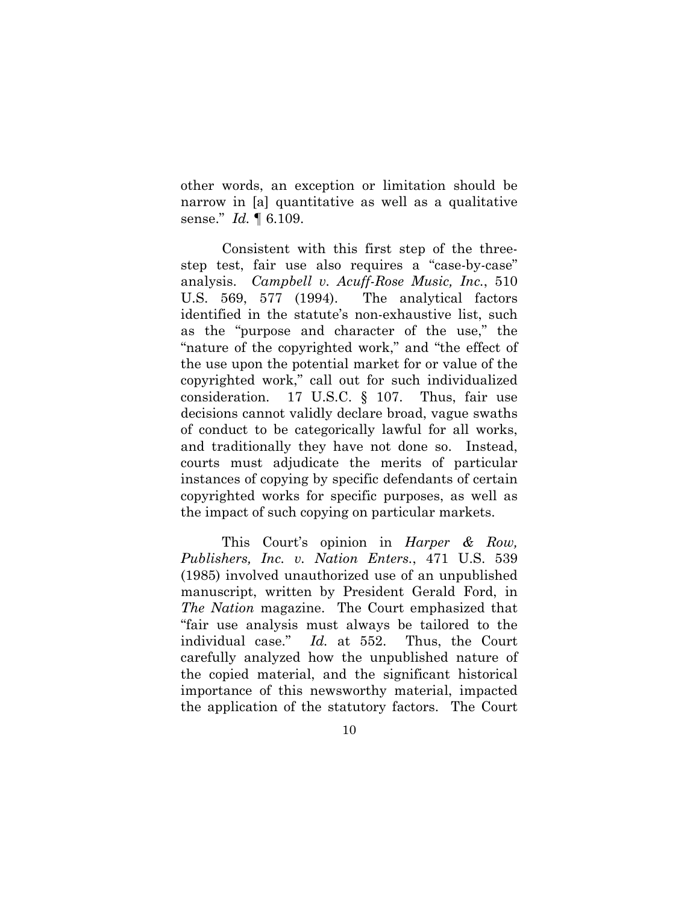other words, an exception or limitation should be narrow in [a] quantitative as well as a qualitative sense." *Id.* ¶ 6.109.

Consistent with this first step of the threestep test, fair use also requires a "case-by-case" analysis. *Campbell v. Acuff-Rose Music, Inc.*, 510 U.S. 569, 577 (1994). The analytical factors identified in the statute's non-exhaustive list, such as the "purpose and character of the use," the "nature of the copyrighted work," and "the effect of the use upon the potential market for or value of the copyrighted work," call out for such individualized consideration. 17 U.S.C. § 107. Thus, fair use decisions cannot validly declare broad, vague swaths of conduct to be categorically lawful for all works, and traditionally they have not done so. Instead, courts must adjudicate the merits of particular instances of copying by specific defendants of certain copyrighted works for specific purposes, as well as the impact of such copying on particular markets.

This Court's opinion in *Harper & Row, Publishers, Inc. v. Nation Enters.*, 471 U.S. 539 (1985) involved unauthorized use of an unpublished manuscript, written by President Gerald Ford, in *The Nation* magazine. The Court emphasized that "fair use analysis must always be tailored to the individual case." *Id.* at 552. Thus, the Court carefully analyzed how the unpublished nature of the copied material, and the significant historical importance of this newsworthy material, impacted the application of the statutory factors. The Court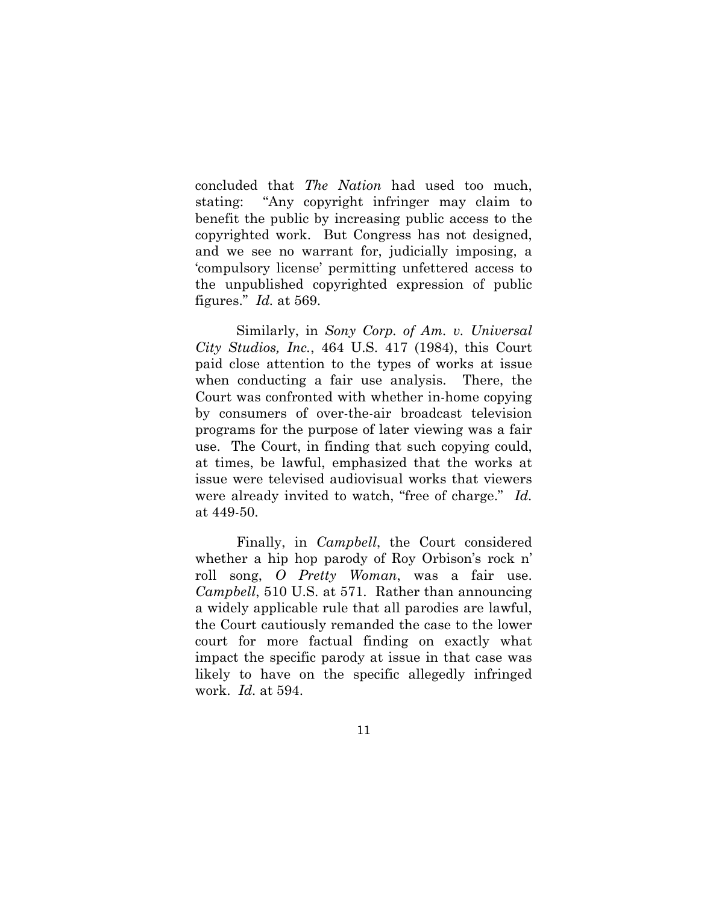concluded that *The Nation* had used too much, stating: "Any copyright infringer may claim to benefit the public by increasing public access to the copyrighted work. But Congress has not designed, and we see no warrant for, judicially imposing, a 'compulsory license' permitting unfettered access to the unpublished copyrighted expression of public figures." *Id.* at 569.

Similarly, in *Sony Corp. of Am. v. Universal City Studios, Inc.*, 464 U.S. 417 (1984), this Court paid close attention to the types of works at issue when conducting a fair use analysis. There, the Court was confronted with whether in-home copying by consumers of over-the-air broadcast television programs for the purpose of later viewing was a fair use. The Court, in finding that such copying could, at times, be lawful, emphasized that the works at issue were televised audiovisual works that viewers were already invited to watch, "free of charge." *Id.* at 449-50.

Finally, in *Campbell*, the Court considered whether a hip hop parody of Roy Orbison's rock n' roll song, *O Pretty Woman*, was a fair use. *Campbell*, 510 U.S. at 571. Rather than announcing a widely applicable rule that all parodies are lawful, the Court cautiously remanded the case to the lower court for more factual finding on exactly what impact the specific parody at issue in that case was likely to have on the specific allegedly infringed work. *Id.* at 594.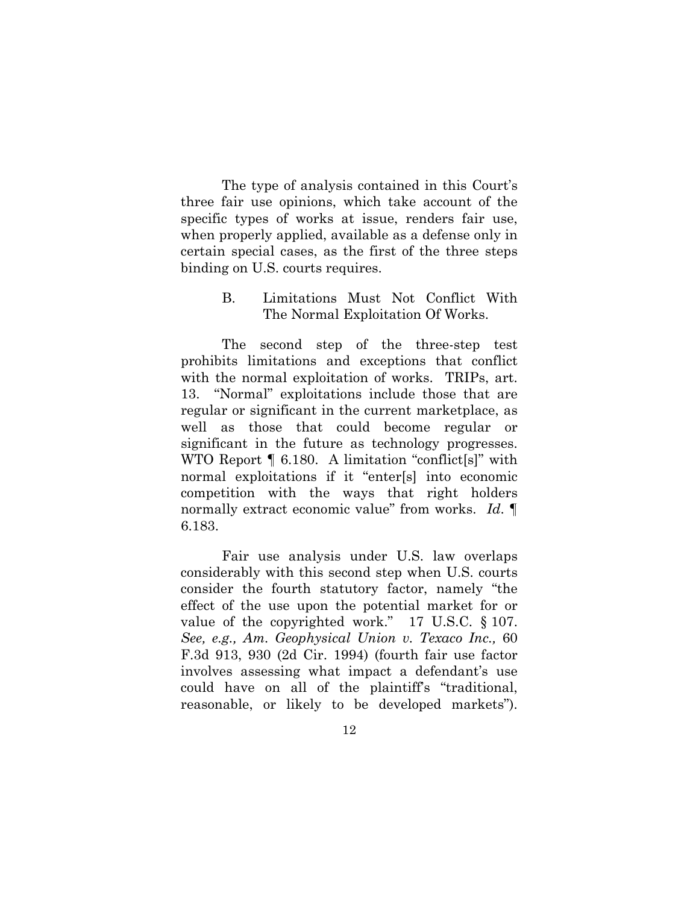The type of analysis contained in this Court's three fair use opinions, which take account of the specific types of works at issue, renders fair use, when properly applied, available as a defense only in certain special cases, as the first of the three steps binding on U.S. courts requires.

### <span id="page-20-0"></span>B. Limitations Must Not Conflict With The Normal Exploitation Of Works.

The second step of the three-step test prohibits limitations and exceptions that conflict with the normal exploitation of works. TRIPs, art. 13. "Normal" exploitations include those that are regular or significant in the current marketplace, as well as those that could become regular or significant in the future as technology progresses. WTO Report ¶ 6.180. A limitation "conflict[s]" with normal exploitations if it "enter[s] into economic competition with the ways that right holders normally extract economic value" from works. *Id*. ¶ 6.183.

Fair use analysis under U.S. law overlaps considerably with this second step when U.S. courts consider the fourth statutory factor, namely "the effect of the use upon the potential market for or value of the copyrighted work." 17 U.S.C. § 107. *See, e.g., Am. Geophysical Union v. Texaco Inc.,* 60 F.3d 913, 930 (2d Cir. 1994) (fourth fair use factor involves assessing what impact a defendant's use could have on all of the plaintiff's "traditional, reasonable, or likely to be developed markets").

12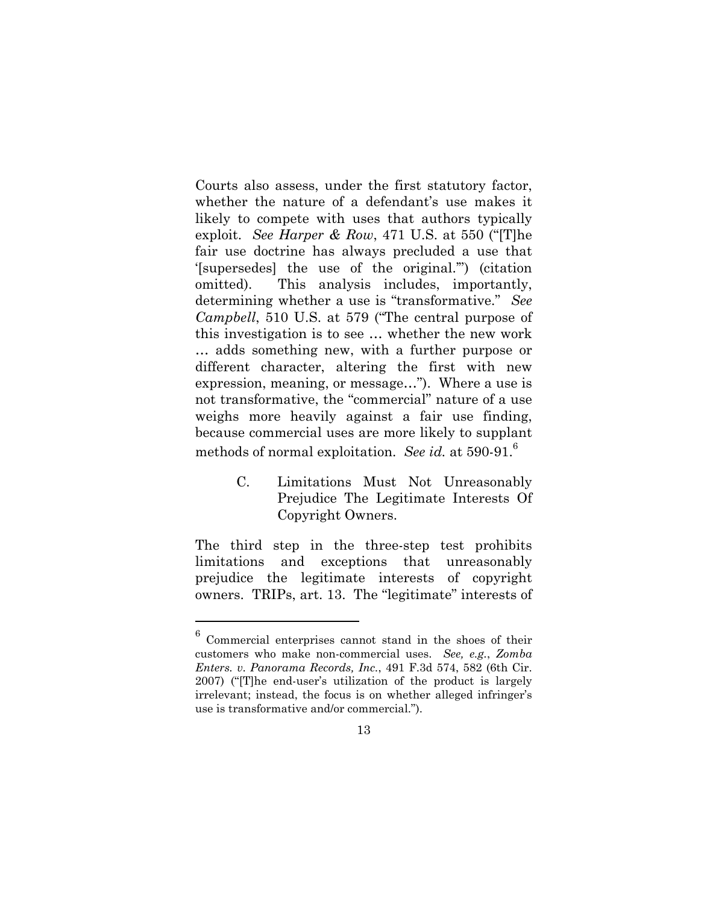Courts also assess, under the first statutory factor, whether the nature of a defendant's use makes it likely to compete with uses that authors typically exploit. *See Harper & Row*, 471 U.S. at 550 ("[T]he fair use doctrine has always precluded a use that '[supersedes] the use of the original.'") (citation omitted). This analysis includes, importantly, determining whether a use is "transformative." *See Campbell*, 510 U.S. at 579 ("The central purpose of this investigation is to see … whether the new work … adds something new, with a further purpose or different character, altering the first with new expression, meaning, or message…"). Where a use is not transformative, the "commercial" nature of a use weighs more heavily against a fair use finding, because commercial uses are more likely to supplant methods of normal exploitation. *See id.* at 590-91.<sup>6</sup>

> <span id="page-21-0"></span>C. Limitations Must Not Unreasonably Prejudice The Legitimate Interests Of Copyright Owners.

The third step in the three-step test prohibits limitations and exceptions that unreasonably prejudice the legitimate interests of copyright owners. TRIPs, art. 13. The "legitimate" interests of

<sup>6</sup> Commercial enterprises cannot stand in the shoes of their customers who make non-commercial uses. *See, e.g.*, *Zomba Enters. v. Panorama Records, Inc.*, 491 F.3d 574, 582 (6th Cir. 2007) ("[T]he end-user's utilization of the product is largely irrelevant; instead, the focus is on whether alleged infringer's use is transformative and/or commercial.").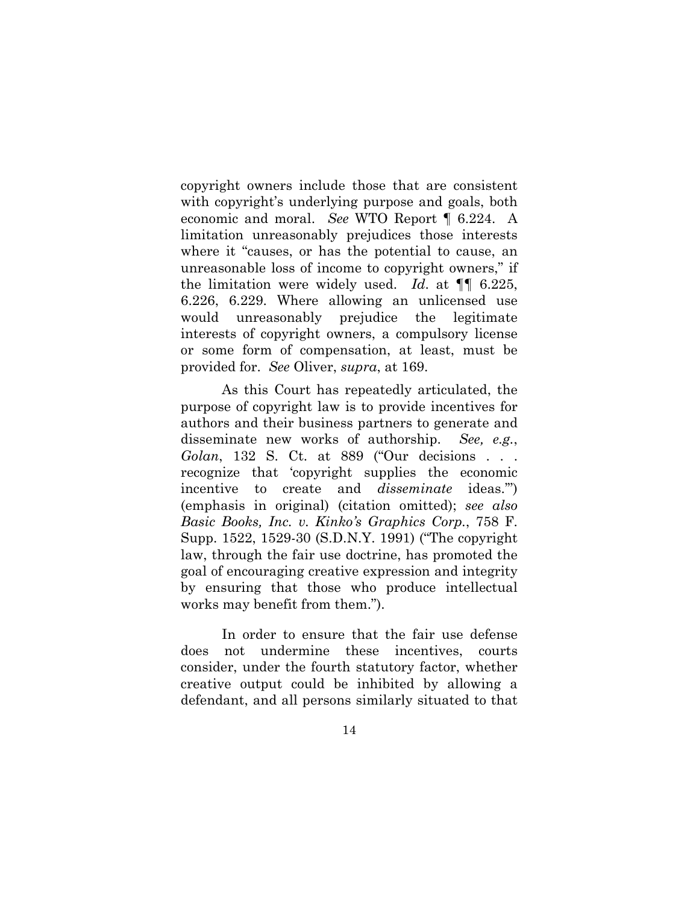copyright owners include those that are consistent with copyright's underlying purpose and goals, both economic and moral. *See* WTO Report ¶ 6.224. A limitation unreasonably prejudices those interests where it "causes, or has the potential to cause, an unreasonable loss of income to copyright owners," if the limitation were widely used. *Id*. at ¶¶ 6.225, 6.226, 6.229. Where allowing an unlicensed use would unreasonably prejudice the legitimate interests of copyright owners, a compulsory license or some form of compensation, at least, must be provided for. *See* Oliver, *supra*, at 169.

As this Court has repeatedly articulated, the purpose of copyright law is to provide incentives for authors and their business partners to generate and disseminate new works of authorship. *See, e.g.*, *Golan*, 132 S. Ct. at 889 ("Our decisions . . . recognize that 'copyright supplies the economic incentive to create and *disseminate* ideas.'") (emphasis in original) (citation omitted); *see also Basic Books, Inc. v. Kinko's Graphics Corp.*, 758 F. Supp. 1522, 1529-30 (S.D.N.Y. 1991) ("The copyright law, through the fair use doctrine, has promoted the goal of encouraging creative expression and integrity by ensuring that those who produce intellectual works may benefit from them.").

In order to ensure that the fair use defense does not undermine these incentives, courts consider, under the fourth statutory factor, whether creative output could be inhibited by allowing a defendant, and all persons similarly situated to that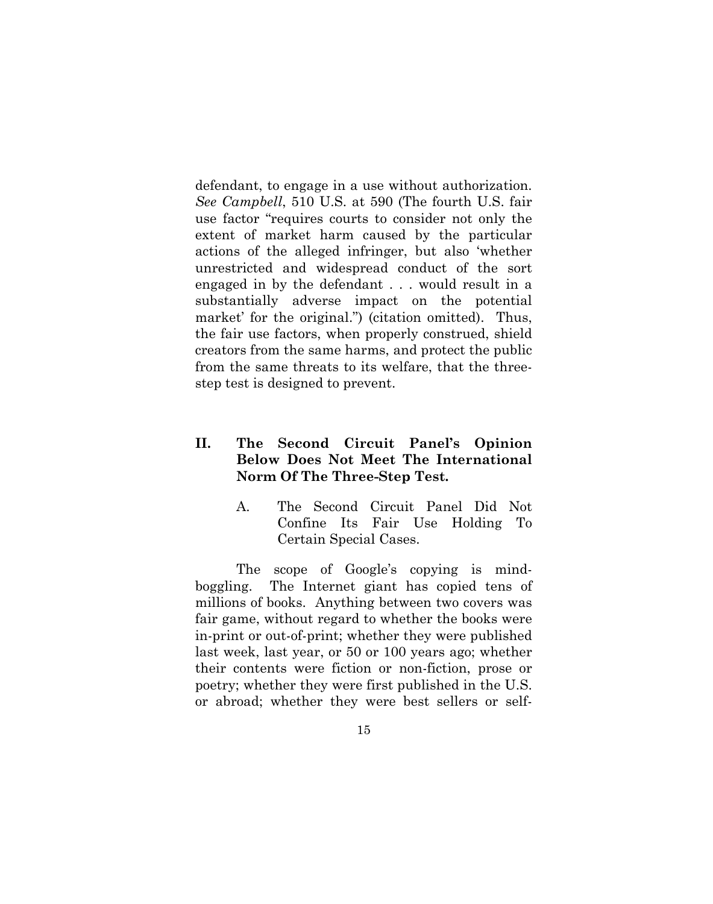defendant, to engage in a use without authorization. *See Campbell*, 510 U.S. at 590 (The fourth U.S. fair use factor "requires courts to consider not only the extent of market harm caused by the particular actions of the alleged infringer, but also 'whether unrestricted and widespread conduct of the sort engaged in by the defendant . . . would result in a substantially adverse impact on the potential market' for the original.") (citation omitted). Thus, the fair use factors, when properly construed, shield creators from the same harms, and protect the public from the same threats to its welfare, that the threestep test is designed to prevent.

### <span id="page-23-0"></span>**II. The Second Circuit Panel's Opinion Below Does Not Meet The International Norm Of The Three-Step Test.**

<span id="page-23-1"></span>A. The Second Circuit Panel Did Not Confine Its Fair Use Holding To Certain Special Cases.

The scope of Google's copying is mindboggling. The Internet giant has copied tens of millions of books. Anything between two covers was fair game, without regard to whether the books were in-print or out-of-print; whether they were published last week, last year, or 50 or 100 years ago; whether their contents were fiction or non-fiction, prose or poetry; whether they were first published in the U.S. or abroad; whether they were best sellers or self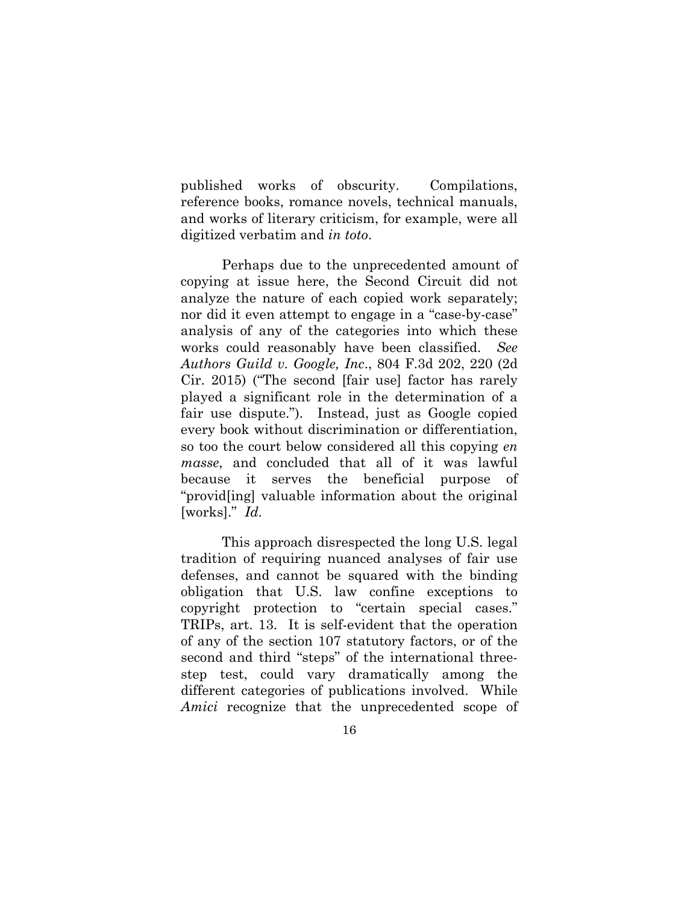published works of obscurity. Compilations, reference books, romance novels, technical manuals, and works of literary criticism, for example, were all digitized verbatim and *in toto*.

Perhaps due to the unprecedented amount of copying at issue here, the Second Circuit did not analyze the nature of each copied work separately; nor did it even attempt to engage in a "case-by-case" analysis of any of the categories into which these works could reasonably have been classified. *See Authors Guild v. Google, Inc*., 804 F.3d 202, 220 (2d Cir. 2015) ("The second [fair use] factor has rarely played a significant role in the determination of a fair use dispute."). Instead, just as Google copied every book without discrimination or differentiation, so too the court below considered all this copying *en masse*, and concluded that all of it was lawful because it serves the beneficial purpose of "provid[ing] valuable information about the original [works]." *Id.*

This approach disrespected the long U.S. legal tradition of requiring nuanced analyses of fair use defenses, and cannot be squared with the binding obligation that U.S. law confine exceptions to copyright protection to "certain special cases." TRIPs, art. 13. It is self-evident that the operation of any of the section 107 statutory factors, or of the second and third "steps" of the international threestep test, could vary dramatically among the different categories of publications involved. While *Amici* recognize that the unprecedented scope of

16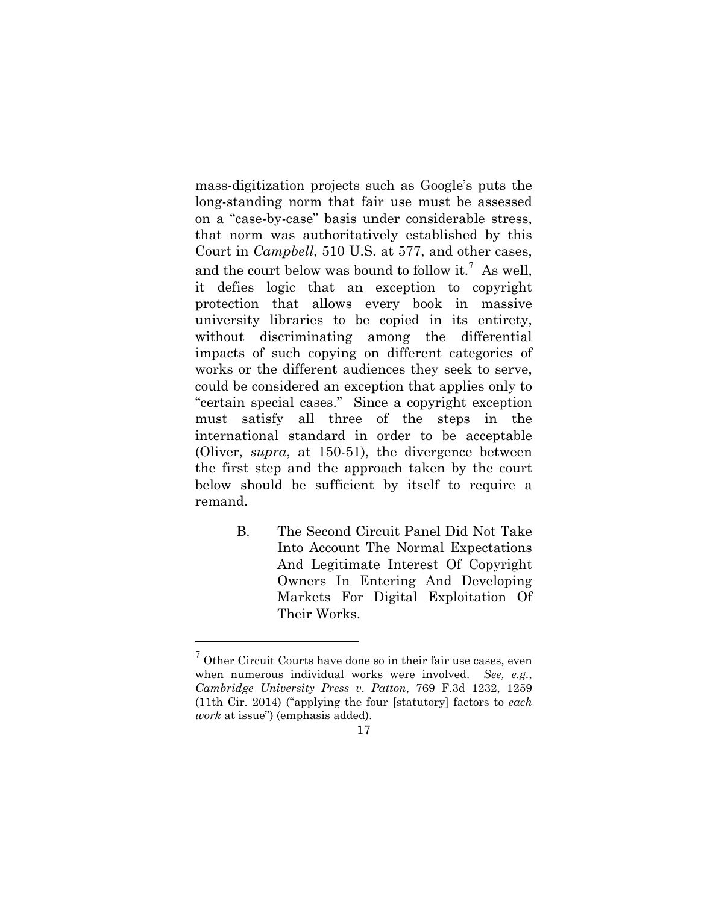mass-digitization projects such as Google's puts the long-standing norm that fair use must be assessed on a "case-by-case" basis under considerable stress, that norm was authoritatively established by this Court in *Campbell*, 510 U.S. at 577, and other cases, and the court below was bound to follow it.<sup>7</sup> As well, it defies logic that an exception to copyright protection that allows every book in massive university libraries to be copied in its entirety, without discriminating among the differential impacts of such copying on different categories of works or the different audiences they seek to serve, could be considered an exception that applies only to "certain special cases." Since a copyright exception must satisfy all three of the steps in the international standard in order to be acceptable (Oliver, *supra*, at 150-51), the divergence between the first step and the approach taken by the court below should be sufficient by itself to require a remand.

> <span id="page-25-0"></span>B. The Second Circuit Panel Did Not Take Into Account The Normal Expectations And Legitimate Interest Of Copyright Owners In Entering And Developing Markets For Digital Exploitation Of Their Works.

 $7$  Other Circuit Courts have done so in their fair use cases, even when numerous individual works were involved. *See, e.g.*, *Cambridge University Press v. Patton*, 769 F.3d 1232, 1259 (11th Cir. 2014) ("applying the four [statutory] factors to *each work* at issue") (emphasis added).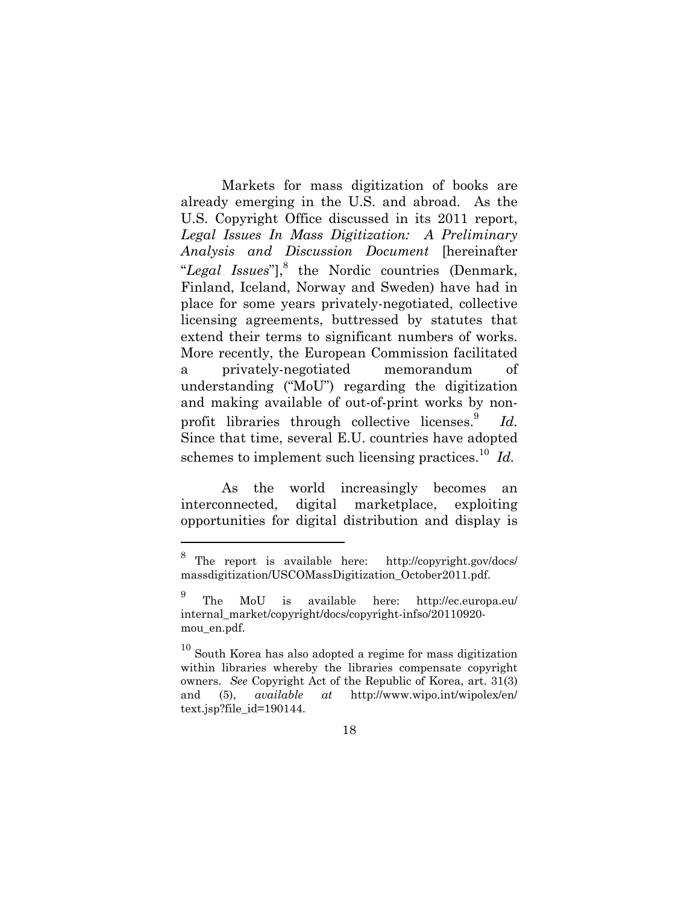Markets for mass digitization of books are already emerging in the U.S. and abroad. As the U.S. Copyright Office discussed in its 2011 report, *Legal Issues In Mass Digitization: A Preliminary Analysis and Discussion Document* [hereinafter "Legal Issues"],<sup>8</sup> the Nordic countries (Denmark, Finland, Iceland, Norway and Sweden) have had in place for some years privately-negotiated, collective licensing agreements, buttressed by statutes that extend their terms to significant numbers of works. More recently, the European Commission facilitated a privately-negotiated memorandum of understanding ("MoU") regarding the digitization and making available of out-of-print works by nonprofit libraries through collective licenses.<sup>9</sup> *Id.*  Since that time, several E.U. countries have adopted schemes to implement such licensing practices.<sup>10</sup> Id.

As the world increasingly becomes an interconnected, digital marketplace, exploiting opportunities for digital distribution and display is

<sup>8</sup> The report is available here: http://copyright.gov/docs/ massdigitization/USCOMassDigitization\_October2011.pdf.

<sup>9</sup> The MoU is available here: http://ec.europa.eu/ internal\_market/copyright/docs/copyright-infso/20110920 mou\_en.pdf.

 $10^{10}$  South Korea has also adopted a regime for mass digitization within libraries whereby the libraries compensate copyright owners. *See* Copyright Act of the Republic of Korea, art. 31(3) and (5), *available at* http://www.wipo.int/wipolex/en/ text.jsp?file\_id=190144.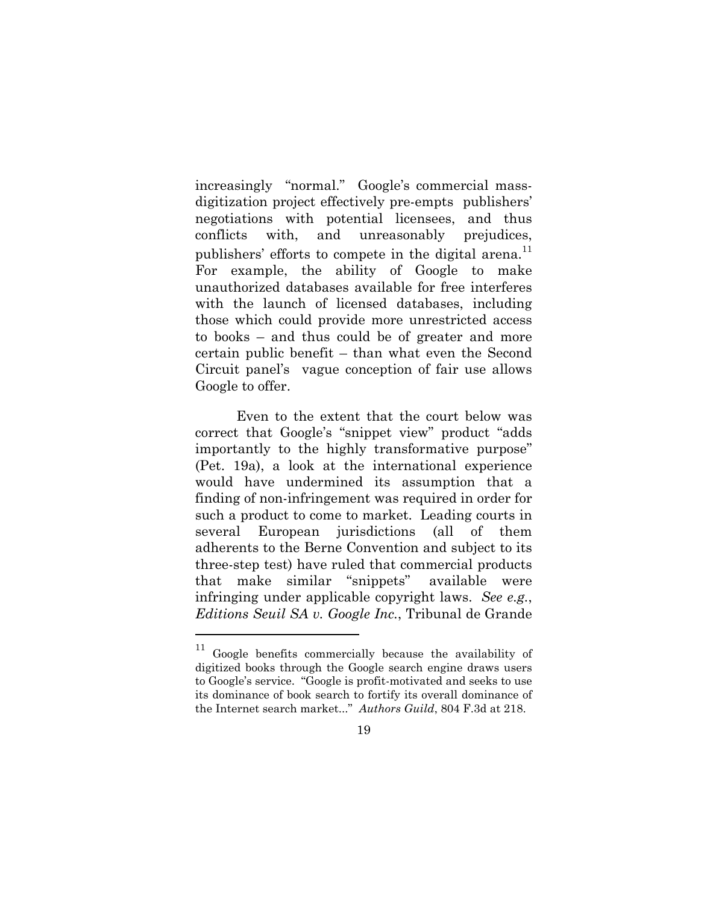increasingly "normal." Google's commercial massdigitization project effectively pre-empts publishers' negotiations with potential licensees, and thus conflicts with, and unreasonably prejudices, publishers' efforts to compete in the digital arena.<sup>11</sup> For example, the ability of Google to make unauthorized databases available for free interferes with the launch of licensed databases, including those which could provide more unrestricted access to books – and thus could be of greater and more certain public benefit – than what even the Second Circuit panel's vague conception of fair use allows Google to offer.

Even to the extent that the court below was correct that Google's "snippet view" product "adds importantly to the highly transformative purpose" (Pet. 19a), a look at the international experience would have undermined its assumption that a finding of non-infringement was required in order for such a product to come to market. Leading courts in several European jurisdictions (all of them adherents to the Berne Convention and subject to its three-step test) have ruled that commercial products that make similar "snippets" available were infringing under applicable copyright laws. *See e.g.*, *Editions Seuil SA v. Google Inc.*, Tribunal de Grande

<sup>&</sup>lt;sup>11</sup> Google benefits commercially because the availability of digitized books through the Google search engine draws users to Google's service. "Google is profit-motivated and seeks to use its dominance of book search to fortify its overall dominance of the Internet search market..." *Authors Guild*, 804 F.3d at 218.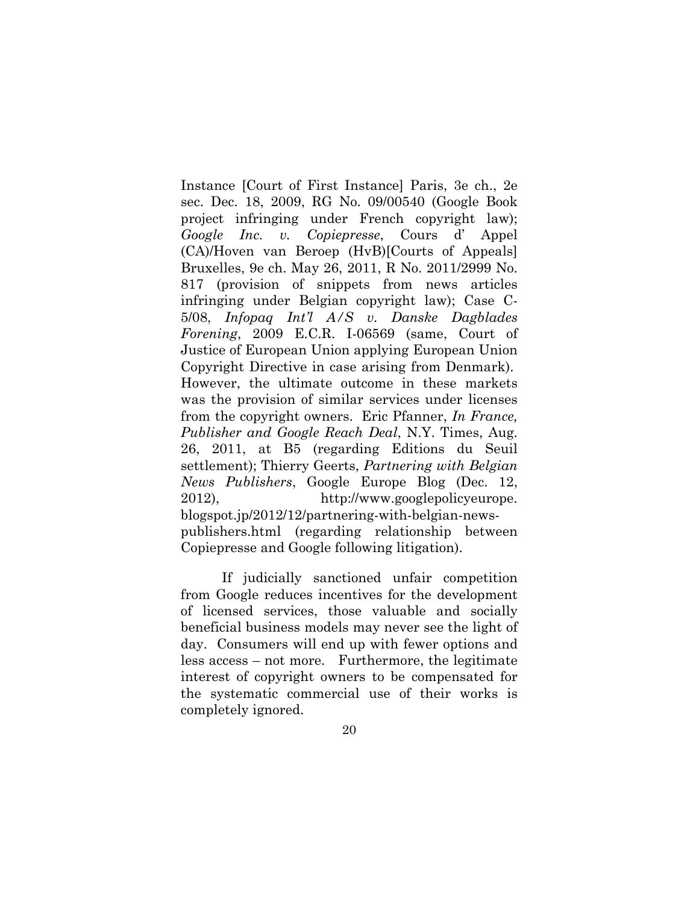Instance [Court of First Instance] Paris, 3e ch., 2e sec. Dec. 18, 2009, RG No. 09/00540 (Google Book project infringing under French copyright law); *Google Inc. v. Copiepresse*, Cours d' Appel (CA)/Hoven van Beroep (HvB)[Courts of Appeals] Bruxelles, 9e ch. May 26, 2011, R No. 2011/2999 No. 817 (provision of snippets from news articles infringing under Belgian copyright law); Case C-5/08, *Infopaq Int'l A/S v. Danske Dagblades Forening*, 2009 E.C.R. I-06569 (same, Court of Justice of European Union applying European Union Copyright Directive in case arising from Denmark). However, the ultimate outcome in these markets was the provision of similar services under licenses from the copyright owners. Eric Pfanner, *In France, Publisher and Google Reach Deal*, N.Y. Times, Aug. 26, 2011, at B5 (regarding Editions du Seuil settlement); Thierry Geerts, *Partnering with Belgian News Publishers*, Google Europe Blog (Dec. 12, 2012), http://www.googlepolicyeurope. blogspot.jp/2012/12/partnering-with-belgian-newspublishers.html (regarding relationship between Copiepresse and Google following litigation).

If judicially sanctioned unfair competition from Google reduces incentives for the development of licensed services, those valuable and socially beneficial business models may never see the light of day. Consumers will end up with fewer options and less access – not more. Furthermore, the legitimate interest of copyright owners to be compensated for the systematic commercial use of their works is completely ignored.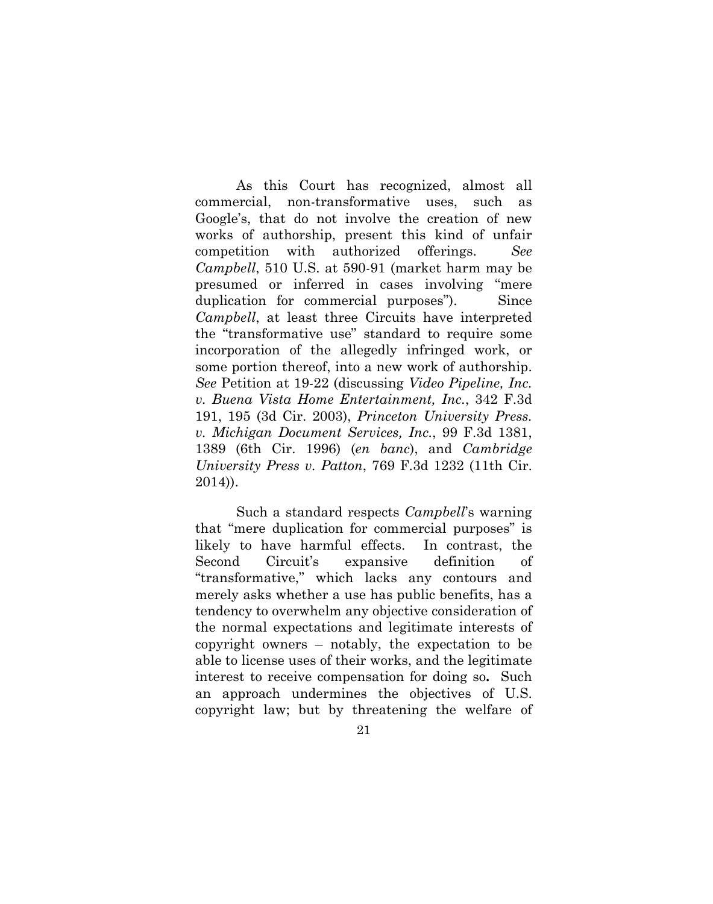As this Court has recognized, almost all commercial, non-transformative uses, such as Google's, that do not involve the creation of new works of authorship, present this kind of unfair competition with authorized offerings. *See Campbell*, 510 U.S. at 590-91 (market harm may be presumed or inferred in cases involving "mere duplication for commercial purposes"). Since *Campbell*, at least three Circuits have interpreted the "transformative use" standard to require some incorporation of the allegedly infringed work, or some portion thereof, into a new work of authorship. *See* Petition at 19-22 (discussing *Video Pipeline, Inc. v. Buena Vista Home Entertainment, Inc.*, 342 F.3d 191, 195 (3d Cir. 2003), *Princeton University Press. v. Michigan Document Services, Inc.*, 99 F.3d 1381, 1389 (6th Cir. 1996) (*en banc*), and *Cambridge University Press v. Patton*, 769 F.3d 1232 (11th Cir. 2014)).

Such a standard respects *Campbell*'s warning that "mere duplication for commercial purposes" is likely to have harmful effects. In contrast, the Second Circuit's expansive definition of "transformative," which lacks any contours and merely asks whether a use has public benefits, has a tendency to overwhelm any objective consideration of the normal expectations and legitimate interests of copyright owners – notably, the expectation to be able to license uses of their works, and the legitimate interest to receive compensation for doing so**.** Such an approach undermines the objectives of U.S. copyright law; but by threatening the welfare of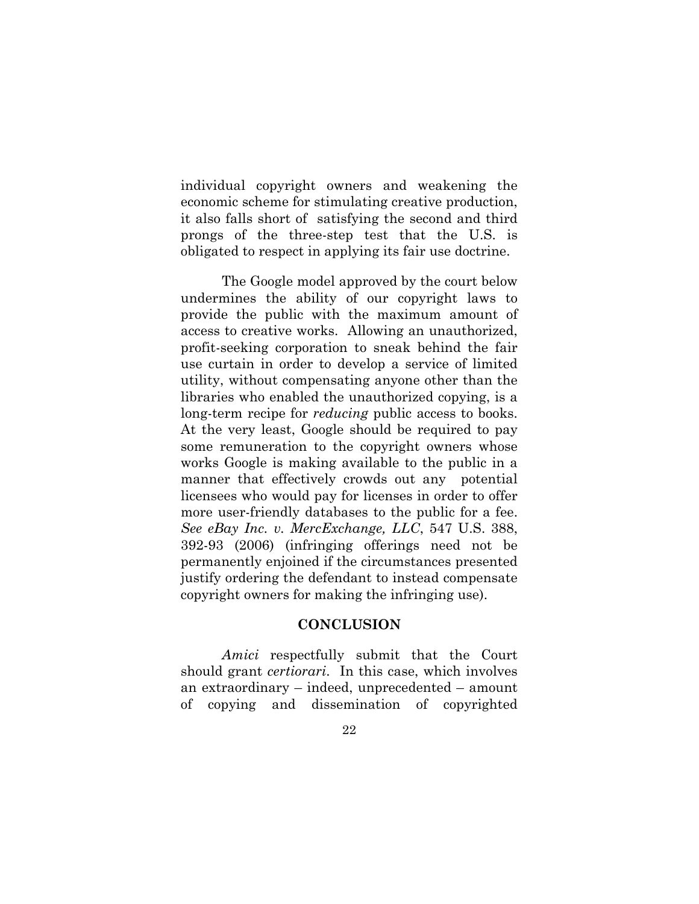individual copyright owners and weakening the economic scheme for stimulating creative production, it also falls short of satisfying the second and third prongs of the three-step test that the U.S. is obligated to respect in applying its fair use doctrine.

The Google model approved by the court below undermines the ability of our copyright laws to provide the public with the maximum amount of access to creative works. Allowing an unauthorized, profit-seeking corporation to sneak behind the fair use curtain in order to develop a service of limited utility, without compensating anyone other than the libraries who enabled the unauthorized copying, is a long-term recipe for *reducing* public access to books. At the very least, Google should be required to pay some remuneration to the copyright owners whose works Google is making available to the public in a manner that effectively crowds out any potential licensees who would pay for licenses in order to offer more user-friendly databases to the public for a fee. *See eBay Inc. v. MercExchange, LLC*, 547 U.S. 388, 392-93 (2006) (infringing offerings need not be permanently enjoined if the circumstances presented justify ordering the defendant to instead compensate copyright owners for making the infringing use).

#### <span id="page-30-0"></span>**CONCLUSION**

*Amici* respectfully submit that the Court should grant *certiorari*. In this case, which involves an extraordinary – indeed, unprecedented – amount of copying and dissemination of copyrighted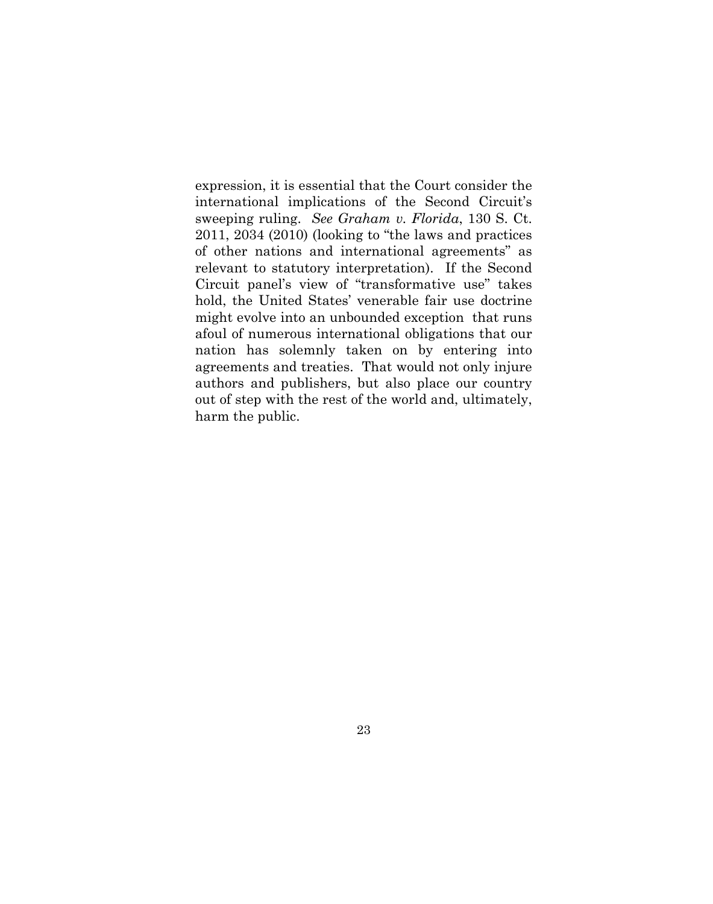expression, it is essential that the Court consider the international implications of the Second Circuit's sweeping ruling. *See Graham v. Florida*, 130 S. Ct. 2011, 2034 (2010) (looking to "the laws and practices of other nations and international agreements" as relevant to statutory interpretation). If the Second Circuit panel's view of "transformative use" takes hold, the United States' venerable fair use doctrine might evolve into an unbounded exception that runs afoul of numerous international obligations that our nation has solemnly taken on by entering into agreements and treaties. That would not only injure authors and publishers, but also place our country out of step with the rest of the world and, ultimately, harm the public.